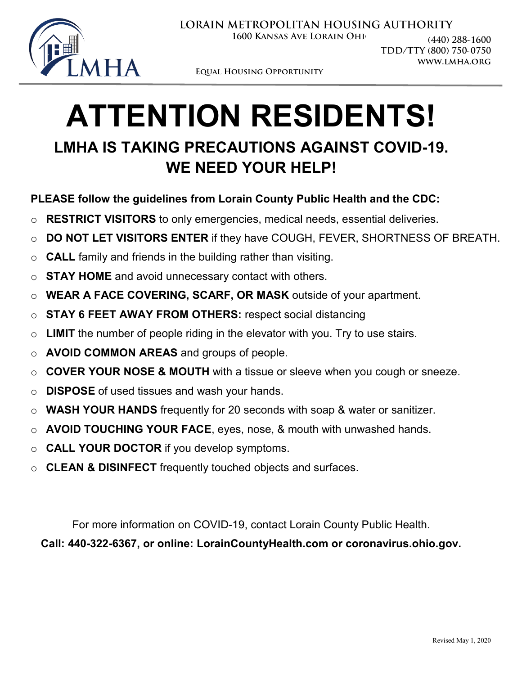

**LORAIN METROPOLITAN HOUSING AUTHORITY**

**1600 KANSAS AVE LORAIN OHIO** 

**(440) 288-1600 TDD/TTY (800) 750-0750 www.lmha.org**

**Equal Housing Opportunity**

## **ATTENTION RESIDENTS! LMHA IS TAKING PRECAUTIONS AGAINST COVID-19. WE NEED YOUR HELP!**

## **PLEASE follow the guidelines from Lorain County Public Health and the CDC:**

- o **RESTRICT VISITORS** to only emergencies, medical needs, essential deliveries.
- o **DO NOT LET VISITORS ENTER** if they have COUGH, FEVER, SHORTNESS OF BREATH.
- o **CALL** family and friends in the building rather than visiting.
- o **STAY HOME** and avoid unnecessary contact with others.
- o **WEAR A FACE COVERING, SCARF, OR MASK** outside of your apartment.
- o **STAY 6 FEET AWAY FROM OTHERS:** respect social distancing
- o **LIMIT** the number of people riding in the elevator with you. Try to use stairs.
- o **AVOID COMMON AREAS** and groups of people.
- o **COVER YOUR NOSE & MOUTH** with a tissue or sleeve when you cough or sneeze.
- o **DISPOSE** of used tissues and wash your hands.
- o **WASH YOUR HANDS** frequently for 20 seconds with soap & water or sanitizer.
- o **AVOID TOUCHING YOUR FACE**, eyes, nose, & mouth with unwashed hands.
- o **CALL YOUR DOCTOR** if you develop symptoms.
- o **CLEAN & DISINFECT** frequently touched objects and surfaces.

For more information on COVID-19, contact Lorain County Public Health.

**Call: 440-322-6367, or online: LorainCountyHealth.com or coronavirus.ohio.gov.**